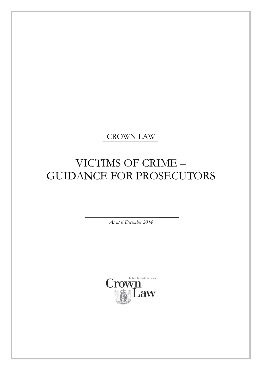CROWN LAW

# VICTIMS OF CRIME – GUIDANCE FOR PROSECUTORS

*As at 6 December 2014*

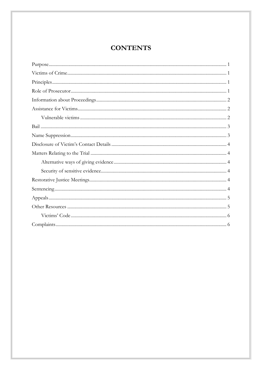## **CONTENTS**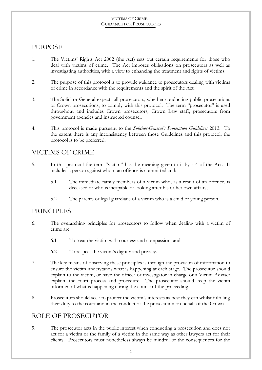### <span id="page-2-0"></span>PURPOSE

- 1. The Victims' Rights Act 2002 (the Act) sets out certain requirements for those who deal with victims of crime. The Act imposes obligations on prosecutors as well as investigating authorities, with a view to enhancing the treatment and rights of victims.
- 2. The purpose of this protocol is to provide guidance to prosecutors dealing with victims of crime in accordance with the requirements and the spirit of the Act.
- 3. The Solicitor-General expects all prosecutors, whether conducting public prosecutions or Crown prosecutions, to comply with this protocol. The term "prosecutor" is used throughout and includes Crown prosecutors, Crown Law staff, prosecutors from government agencies and instructed counsel.
- 4. This protocol is made pursuant to the *Solicitor-General's Prosecution Guidelines* 2013. To the extent there is any inconsistency between those Guidelines and this protocol, the protocol is to be preferred.

### <span id="page-2-1"></span>VICTIMS OF CRIME

- 5. In this protocol the term "victim" has the meaning given to it by s 4 of the Act. It includes a person against whom an offence is committed and:
	- 5.1 The immediate family members of a victim who, as a result of an offence, is deceased or who is incapable of looking after his or her own affairs;
	- 5.2 The parents or legal guardians of a victim who is a child or young person.

### <span id="page-2-2"></span>PRINCIPLES

- 6. The overarching principles for prosecutors to follow when dealing with a victim of crime are:
	- 6.1 To treat the victim with courtesy and compassion; and
	- 6.2 To respect the victim's dignity and privacy.
- 7. The key means of observing these principles is through the provision of information to ensure the victim understands what is happening at each stage. The prosecutor should explain to the victim, or have the officer or investigator in charge or a Victim Adviser explain, the court process and procedure. The prosecutor should keep the victim informed of what is happening during the course of the proceeding.
- 8. Prosecutors should seek to protect the victim's interests as best they can whilst fulfilling their duty to the court and in the conduct of the prosecution on behalf of the Crown.

### <span id="page-2-3"></span>ROLE OF PROSECUTOR

9. The prosecutor acts in the public interest when conducting a prosecution and does not act for a victim or the family of a victim in the same way as other lawyers act for their clients. Prosecutors must nonetheless always be mindful of the consequences for the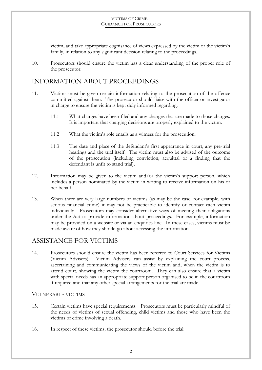victim, and take appropriate cognisance of views expressed by the victim or the victim's family, in relation to any significant decision relating to the proceedings.

10. Prosecutors should ensure the victim has a clear understanding of the proper role of the prosecutor.

### <span id="page-3-0"></span>INFORMATION ABOUT PROCEEDINGS

- 11. Victims must be given certain information relating to the prosecution of the offence committed against them. The prosecutor should liaise with the officer or investigator in charge to ensure the victim is kept duly informed regarding:
	- 11.1 What charges have been filed and any changes that are made to those charges. It is important that charging decisions are properly explained to the victim.
	- 11.2 What the victim's role entails as a witness for the prosecution.
	- 11.3 The date and place of the defendant's first appearance in court, any pre-trial hearings and the trial itself. The victim must also be advised of the outcome of the prosecution (including conviction, acquittal or a finding that the defendant is unfit to stand trial).
- 12. Information may be given to the victim and/or the victim's support person, which includes a person nominated by the victim in writing to receive information on his or her behalf.
- 13. When there are very large numbers of victims (as may be the case, for example, with serious financial crime) it may not be practicable to identify or contact each victim individually. Prosecutors may consider alternative ways of meeting their obligations under the Act to provide information about proceedings. For example, information may be provided on a website or via an enquiries line. In these cases, victims must be made aware of how they should go about accessing the information.

### <span id="page-3-1"></span>ASSISTANCE FOR VICTIMS

14. Prosecutors should ensure the victim has been referred to Court Services for Victims (Victim Advisers). Victim Advisers can assist by explaining the court process, ascertaining and communicating the views of the victim and, when the victim is to attend court, showing the victim the courtroom. They can also ensure that a victim with special needs has an appropriate support person organised to be in the courtroom if required and that any other special arrangements for the trial are made.

#### <span id="page-3-2"></span>VULNERABLE VICTIMS

- 15. Certain victims have special requirements. Prosecutors must be particularly mindful of the needs of victims of sexual offending, child victims and those who have been the victims of crime involving a death.
- 16. In respect of these victims, the prosecutor should before the trial: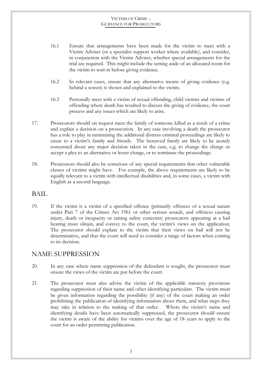- 16.1 Ensure that arrangements have been made for the victim to meet with a Victim Adviser (or a specialist support worker where available), and consider, in conjunction with the Victim Adviser, whether special arrangements for the trial are required. This might include the setting aside of an allocated room for the victim to wait in before giving evidence.
- 16.2 In relevant cases, ensure that any alternative means of giving evidence (e.g. behind a screen) is shown and explained to the victim.
- 16.3 Personally meet with a victim of sexual offending, child victims and victims of offending where death has resulted to discuss the giving of evidence, the court process and any issues which are likely to arise.
- 17. Prosecutors should on request meet the family of someone killed as a result of a crime and explain a decision on a prosecution. In any case involving a death the prosecutor has a role to play in minimising the additional distress criminal proceedings are likely to cause to a victim's family and friends. The bereaved family are likely to be acutely concerned about any major decision taken in the case, e.g. to change the charge or accept a plea to an alternative or lesser charge, or to terminate the proceedings.
- 18. Prosecutors should also be conscious of any special requirements that other vulnerable classes of victims might have. For example, the above requirements are likely to be equally relevant to a victim with intellectual disabilities and, in some cases, a victim with English as a second language.

### <span id="page-4-0"></span>BAIL

19. If the victim is a victim of a specified offence (primarily offences of a sexual nature under Part 7 of the Crimes Act 1961 or other serious assault, and offences causing injury, death or incapacity or raising safety concerns) prosecutors appearing at a bail hearing must obtain, and convey to the court, the victim's views on the application. The prosecutor should explain to the victim that their views on bail will not be determinative, and that the court will need to consider a range of factors when coming to its decision.

### <span id="page-4-1"></span>NAME SUPPRESSION

- 20. In any case where name suppression of the defendant is sought, the prosecutor must ensure the views of the victim are put before the court.
- 21. The prosecutor must also advise the victim of the applicable statutory provisions regarding suppression of their name and other identifying particulars. The victim must be given information regarding the possibility (if any) of the court making an order prohibiting the publication of identifying information about them, and what steps they may take in relation to the making of that order. Where the victim's name and identifying details have been automatically suppressed, the prosecutor should ensure the victim is aware of the ability for victims over the age of 18 years to apply to the court for an order permitting publication.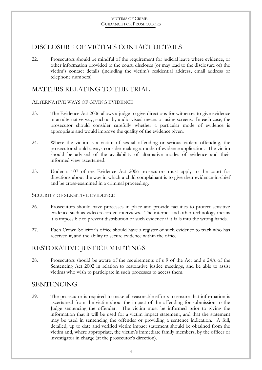### <span id="page-5-0"></span>DISCLOSURE OF VICTIM'S CONTACT DETAILS

22. Prosecutors should be mindful of the requirement for judicial leave where evidence, or other information provided to the court, discloses (or may lead to the disclosure of) the victim's contact details (including the victim's residential address, email address or telephone numbers).

### <span id="page-5-1"></span>MATTERS RELATING TO THE TRIAL

#### <span id="page-5-2"></span>ALTERNATIVE WAYS OF GIVING EVIDENCE

- 23. The Evidence Act 2006 allows a judge to give directions for witnesses to give evidence in an alternative way, such as by audio-visual means or using screens. In each case, the prosecutor should consider carefully whether a particular mode of evidence is appropriate and would improve the quality of the evidence given.
- 24. Where the victim is a victim of sexual offending or serious violent offending, the prosecutor should always consider making a mode of evidence application. The victim should be advised of the availability of alternative modes of evidence and their informed view ascertained.
- 25. Under s 107 of the Evidence Act 2006 prosecutors must apply to the court for directions about the way in which a child complainant is to give their evidence-in-chief and be cross-examined in a criminal proceeding.

#### <span id="page-5-3"></span>SECURITY OF SENSITIVE EVIDENCE

- 26. Prosecutors should have processes in place and provide facilities to protect sensitive evidence such as video recorded interviews. The internet and other technology means it is impossible to prevent distribution of such evidence if it falls into the wrong hands.
- 27. Each Crown Solicitor's office should have a register of such evidence to track who has received it, and the ability to secure evidence within the office.

### <span id="page-5-4"></span>RESTORATIVE JUSTICE MEETINGS

28. Prosecutors should be aware of the requirements of s 9 of the Act and s 24A of the Sentencing Act 2002 in relation to restorative justice meetings, and be able to assist victims who wish to participate in such processes to access them.

### <span id="page-5-5"></span>SENTENCING

29. The prosecutor is required to make all reasonable efforts to ensure that information is ascertained from the victim about the impact of the offending for submission to the Judge sentencing the offender. The victim must be informed prior to giving the information that it will be used for a victim impact statement, and that the statement may be used in sentencing the offender or providing a sentence indication. A full, detailed, up to date and verified victim impact statement should be obtained from the victim and, where appropriate, the victim's immediate family members, by the officer or investigator in charge (at the prosecutor's direction).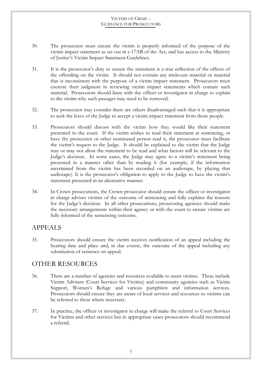- 30. The prosecutor must ensure the victim is properly informed of the purpose of the victim impact statement as set out in s 17AB of the Act, and has access to the Ministry of Justice's Victim Impact Statement Guidelines.
- 31. It is the prosecutor's duty to ensure the statement is a true reflection of the effects of the offending on the victim. It should not contain any irrelevant material or material that is inconsistent with the purpose of a victim impact statement. Prosecutors must exercise their judgment in reviewing victim impact statements which contain such material. Prosecutors should liaise with the officer or investigator in charge to explain to the victim why such passages may need to be removed.
- 32. The prosecutor may consider there are others disadvantaged such that it is appropriate to seek the leave of the Judge to accept a victim impact statement from those people.
- 33. Prosecutors should discuss with the victim how they would like their statement presented to the court. If the victim wishes to read their statement at sentencing, or have the prosecutor or other nominated person read it, the prosecutor must facilitate the victim's request to the Judge. It should be explained to the victim that the Judge may or may not allow the statement to be read and what factors will be relevant to the Judge's decision. In some cases, the Judge may agree to a victim's statement being presented in a manner other than by reading it (for example, if the information ascertained from the victim has been recorded on an audiotape, by playing that audiotape). It is the prosecutor's obligation to apply to the Judge to have the victim's statement presented in an alternative manner.
- 34. In Crown prosecutions, the Crown prosecutor should ensure the officer or investigator in charge advises victims of the outcome of sentencing and fully explains the reasons for the Judge's decision. In all other prosecutions, prosecuting agencies should make the necessary arrangements within their agency or with the court to ensure victims are fully informed of the sentencing outcome.

### <span id="page-6-0"></span>APPEALS

35. Prosecutors should ensure the victim receives notification of an appeal including the hearing date and place and, in due course, the outcome of the appeal including any substitution of sentence on appeal.

### <span id="page-6-1"></span>OTHER RESOURCES

- 36. There are a number of agencies and resources available to assist victims. These include Victim Advisers (Court Services for Victims) and community agencies such as Victim Support, Women's Refuge and various pamphlets and information services. Prosecutors should ensure they are aware of local services and resources so victims can be referred to these where necessary.
- 37. In practice, the officer or investigator in charge will make the referral to Court Services for Victims and other services but in appropriate cases prosecutors should recommend a referral.